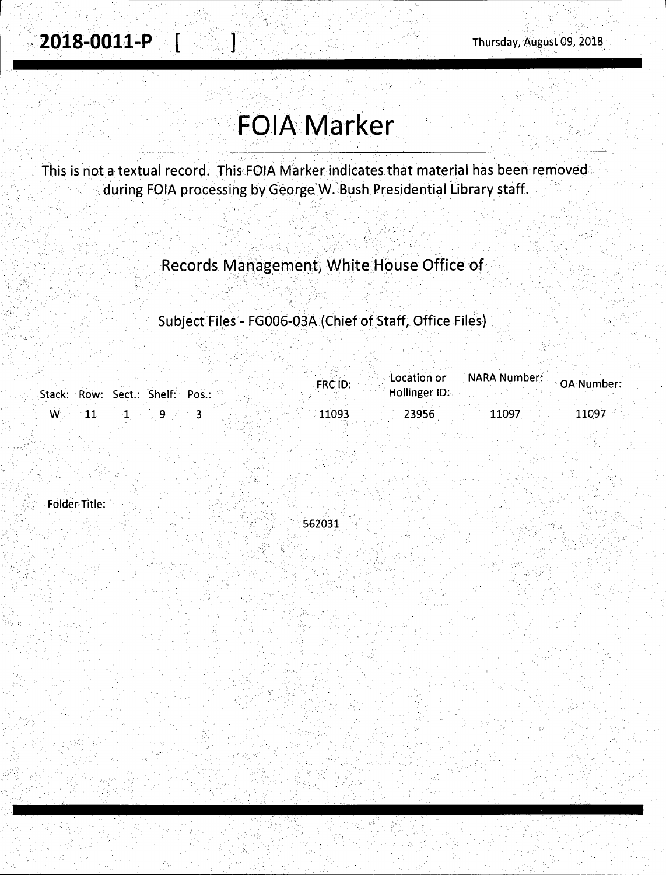# **FOIA Marker**

. . . . ' . . . ' ·. . . . .

This is not a textual record. This·FOIA Marker indicates that material has been removed during FOIA processing by George W. Bush Presidential Library staff.

' • • • • ' • *r* ' • '

Records Management; White House Office of .

Subject Files - FG006-03A (Chief of Staff; Office Files)

|      |                                 | <b>FRC ID:</b> |               | Location or NARA Number: | <b>OA Number:</b> |
|------|---------------------------------|----------------|---------------|--------------------------|-------------------|
|      | Stack: Row: Sect.: Shelf: Pos.: |                | Hollinger ID: |                          |                   |
| ∴ W⊡ |                                 | 11093          | 23956         | 11097                    | 11097             |

Folder Title:

562031'

 $'$   $\rightarrow$   $\tilde{\lambda}$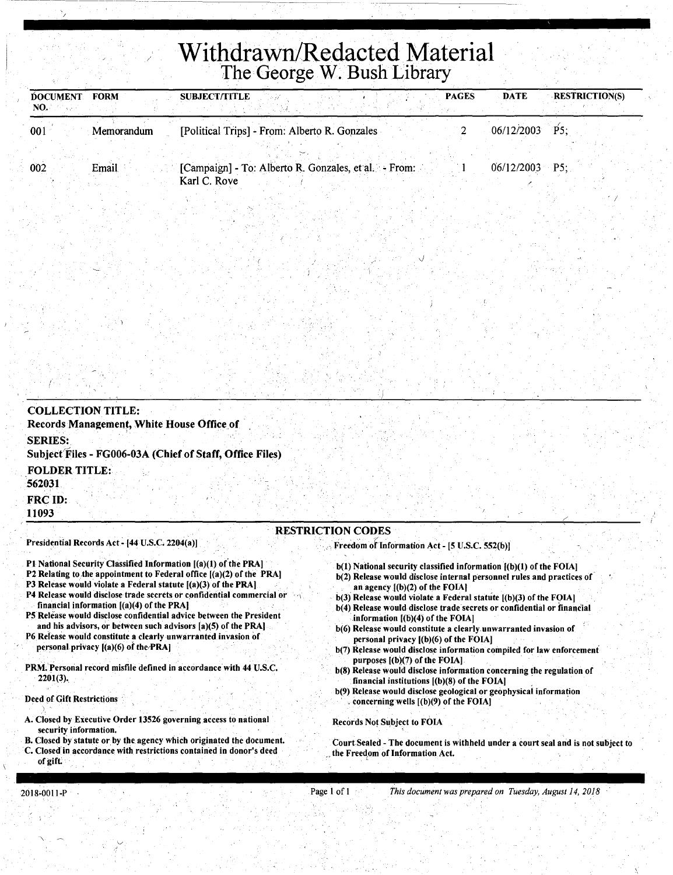# **Withdrawn/Redacted Material**  The George W. Bush Library

| <b>DOCUMENT</b><br>NO. | <b>FORM</b> | <b>SUBJECT/TITLE</b> |                                                      | <b>PAGES</b> | <b>DATE</b>      | <b>RESTRICTION(S)</b> |
|------------------------|-------------|----------------------|------------------------------------------------------|--------------|------------------|-----------------------|
| 001                    | Memorandum  |                      | [Political Trips] - From: Alberto R. Gonzales        |              | 06/12/2003       | P5:                   |
| 002                    | Email       |                      | [Campaign] - To: Alberto R. Gonzales, et al. - From: |              | $06/12/2003$ P5; |                       |
|                        |             | Karl C. Rove         |                                                      |              |                  |                       |

| Records Management, White House Office of                                  |                          |  |
|----------------------------------------------------------------------------|--------------------------|--|
| <b>SERIES:</b><br>Subject Files - FG006-03A (Chief of Staff, Office Files) |                          |  |
| <b>FOLDER TITLE:</b><br>562031                                             |                          |  |
| FRC ID:<br>11093                                                           |                          |  |
|                                                                            | <b>RESTRICTION CODES</b> |  |

- Pl National Security Classified Information [(a)(l) or'the PRA]
- P2 Relating to the appointment to Federal office  $[(a)(2)$  of the PRA]
- P3 Release would violate a Federal statute [(a)(3) of the PRA]
- P4 Release would disclose trade secrets or confidential commercial or financial information [(a)(4) of the PRAl
- PS Release would disclose confidential advice between the President and his advisors, or between such advisors [a)(5) of the PRAl
- P6 Release would constitute a clearly unwarranted invasion of personal privacy  $[(a)(6)$  of the PRA]
- PRM; Personal record misfile defined in accordance with 44 U.S.C.  $2201(3)$ .
- Deed of Gift Restrictions
- .<br>A. Closed by Executive Order 13526 governing access to national security information.
- B. Closed by statute or by the agency which originated the document. C. Closed in accordance with restrictions contained in donor's deed of gift;
- $b(1)$  National security classified information  $[(b)(1)$  of the FOIA] b(2) Release would disclose internal personnel rules and practices of an agency  $[(b)(2)$  of the FOIA]
- $b(3)$  Release would violate a Federal statute  $[(b)(3)$  of the FOIA]

*J* 

- b(4) Release would disclose trade secrets or confidential or financ'ial information [(b)(4) of the FOlA)
- b(6) Release would constitute a clearly. unwarranted invasion of personal privacy [(b)(6) of the FOlA)
- b(7) Release would disclose information compiled for law enforcement purposes [(b)(7) of the FOlA)
- b(8) Release would disclose information concerning the regulation of financial institutions  $[(b)(8)$  of the FOIA]
- b(9) Release would disclose geological or geophysical information concerning wells  $[(b)(9)$  of the FOIA]

Records Not Subject to FOIA

Court Sealed - The document is withheld under a court seal and is not subject to the Freedom of Information Act.

 $\ddot{\phantom{0}}$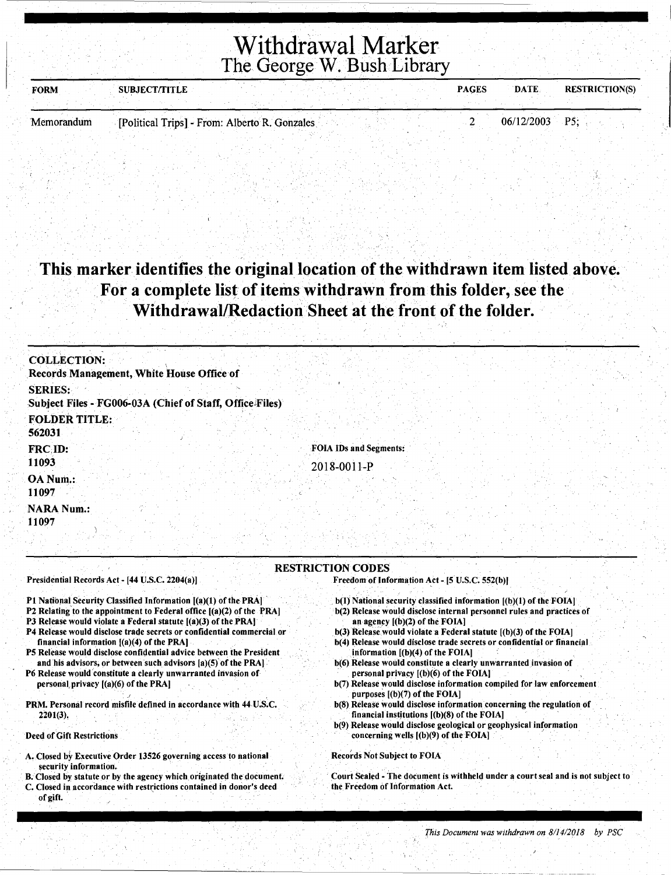Withdrawal Marker The George W. Bush Library

| <b>FORM</b> | <b>SUBJECT/TITLE</b>                          |  |  | <b>PAGES</b> | DATE.            | <b>RESTRICTION(S)</b> |
|-------------|-----------------------------------------------|--|--|--------------|------------------|-----------------------|
|             |                                               |  |  |              |                  |                       |
| Memorandum  | [Political Trips] - From: Alberto R. Gonzales |  |  |              | $06/12/2003$ P5: |                       |

## This marker identifies the original location of the withdrawn item listed above. For a complete list of items withdrawn from this folder, see the Withdrawal/Redaction Sheet at the front of the folder.

| Records Management, White House Office of<br><b>SERIES:</b> |                                                                            |
|-------------------------------------------------------------|----------------------------------------------------------------------------|
| Subject Files - FG006-03A (Chief of Staff, Office Files)    |                                                                            |
| <b>FOLDER TITLE:</b><br>562031                              |                                                                            |
| FRC ID:<br>11093                                            | FOIA IDs and Segments:<br>2018-0011-P                                      |
| OA Num.:<br>11097                                           |                                                                            |
| <b>NARA Num.:</b><br>11097                                  |                                                                            |
| Presidential Records Act - [44 U.S.C. 2204(a)]              | <b>RESTRICTION CODES</b><br>Freedom of Information Act - [5 U.S.C. 552(b)] |

- P1 National Security Classified Information [(a)(1) of the PRA]
- P2 Relating to the appointment to Federal office [(a)(2) of the PRA]
- P3 Release would violate a Federal statute  $[(a)(3)$  of the PRA]
- P4 Release would disclose trade secrets or confidential commercial or financial information [(a)(4) of the PRA]
- P5 Release would disclose confidential advice between the President and his advisors, or between such advisors  $[a](5)$  of the PRA]
- P6 Release would 'constitute a clearly unwarranted invasion of personal, privacy [(a)(6) of the PRA]

• .I

PRM. Personal record misfile defined in accordance with 44 U.S.C. 2201(3),

Deed of Gift Restrictions

- A. Closed by Executive Order 13526 governing access to national security information.
- B. Closed by statute or by the agency which originated the document. C. Closed in accordance with restrictions contained in donor's deed of gift.
- $b(I)$  National security classified information  $[(b)(1)$  of the FOIA]
- b(2) Release would disclose internal personnel rules and practices of an agency [(b)(2) of the FOIA]
- $b(3)$  Release would violate a Federal statute  $[(b)(3)$  of the FOIA]
- b(4) Release would disclose trade secrets or confidential or financial information [(b)(4) of the FOIA]
- b(6) Release would constitute a clearly unwarranted invasion of personal privacy  $[(b)(6)$  of the FOIA]
- b(7) Release would disclose information compiled for law enforcement purposes [(b)(7) of the FOIA]
- b(S) Release would disclose information concerning the regulation of financial institutions  $[(b)(8)$  of the FOIA]
- b(9) Release would disclose geological or geophysical information concerning wells  $[(b)(9)$  of the FOIA]

Records Not Subject to FOIA

Court Sealed - The document is withheld under a court seal and is not subject to the Freedom of Information Act.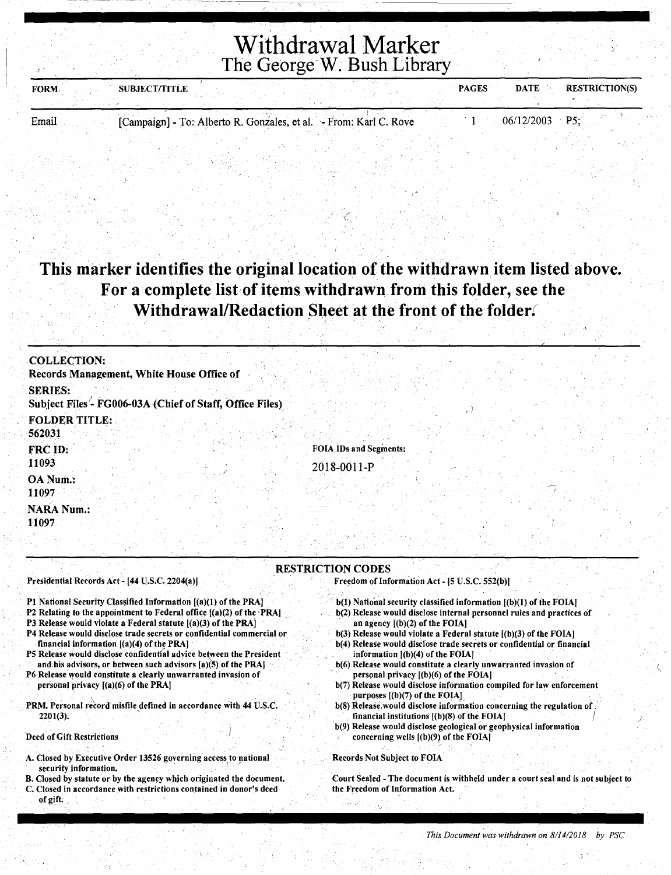# Withdrawal Marker The George W. Bush Library

| <b>FORM</b> | <b>SUBJECT/TITLE</b> |  | <b>PAGES</b> | <b>DATE</b> | <b>RESTRICTION(S)</b> |
|-------------|----------------------|--|--------------|-------------|-----------------------|
|             |                      |  |              |             |                       |
|             |                      |  |              |             |                       |

Email [Campaign] - To: Alberto R. Gonzales, et al. - From: Karl C. Rove 1 06/12/2003 P5;

----- --------~~--

## This marker identifies the original location of the withdrawn item listed above. For a complete list of items withdrawn from this folder, see the Withdrawal/Redaction Sheet at the front of the folder.

 $\zeta$ 

| <b>COLLECTION:</b>                                                         |                               |
|----------------------------------------------------------------------------|-------------------------------|
| Records Management, White House Office of                                  |                               |
| <b>SERIES:</b><br>Subject Files - FG006-03A (Chief of Staff, Office Files) |                               |
| <b>FOLDER TITLE:</b><br>562031                                             |                               |
| FRC ID:                                                                    | <b>FOIA IDs and Segments:</b> |
| 11093                                                                      | 2018-0011-P                   |
| OA Num.:<br>11097                                                          |                               |
| <b>NARA Num.:</b>                                                          |                               |
| 11097                                                                      |                               |

#### RESTRICTION CODES

Presidential Records Act- [44 U.S.C. 2204(a))

- P1 National Security Classified Information [(a)(1) of the PRA]
- P2 Relating to the appointment to Federal office  $[(a)(2)$  of the PRA]
- P3 Release would violate a Federal statute  $[(a)(3)$  of the PRA)
- P4 Release would disclose trade secrets or confidential commercial or\_ financial information  $[(a)(4)$  of the PRA]
- P5 Release would disclose confidential advice between the President and his advisors, or between such advisors  $[a](5)$  of the PRA]
- P6 Release would constitute a clearly unwarranted invasion of personal privacy [(a)(6) of the PRA)
- PRM. Personal record misfile defined in accordance with 44 U.S.C. 2201(3). '

Deed of Gift Restrictions

- A. Closed by Executive Order 13526 governing access to national security information.
- B. Closed by statute or by the agency which originated the document. C. Closed in accordance with restrictions contained in donor's deed
- of gift:

 $b(1)$  National security classified information  $[(b)(1)$  of the FOIA]

Freedom of Information Act - [5 U.S.C. 552(b)]

- b(2) Release would disclose internal personnel rules and practices of an agency [(b)(2) of the FOIA)
- b(3) Release would violate a Federal statute [(b)(3) of the FOIA]
- b(4) Release would disclose trade secrets or confidential or financial information  $[(b)(4)$  of the FOIA]
- b(6) Release would constitute a clearly unwarranted invasion of personal privacy  $[(b)(6)$  of the FOIA]
- b(7) Release would disclose information compiled for law enforcement purposes  $[(b)(7)$  of the FOIA]
- b(8) Release would disclose information concerning the regulation of financial institutions  $(6)(8)$  of the FOIA]
- ·b(9) Release would disclose geological or geophysical information concerning wells [(b)(9) of the FOIA)

#### Records Not Subject to FOIA

Court Sealed - The. document is withheld under a court seal and is not subject to the Freedom of Information Act.

 $\overline{\mathcal{P}}$ 

)